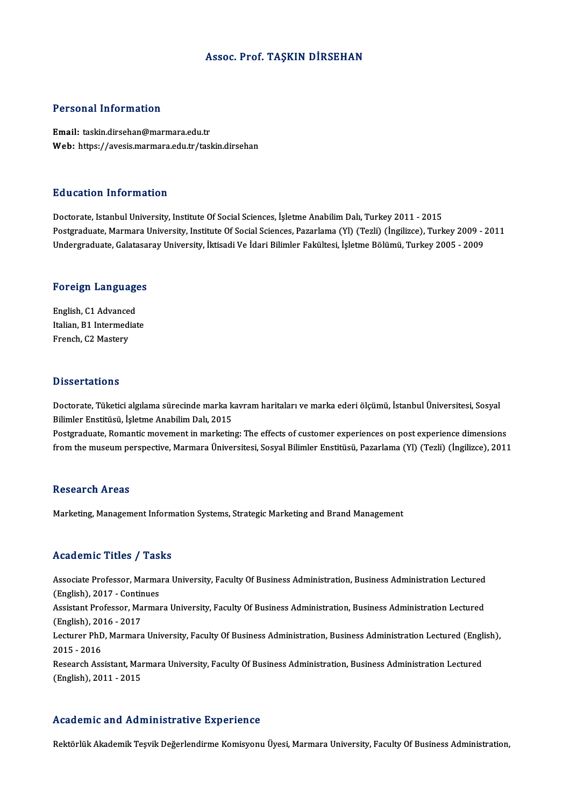#### Assoc. Prof. TAŞKIN DİRSEHAN

#### Personal Information

Email: taskin.dirsehan@marmara.edu.tr Web: https://avesis.marmara.edu.tr/taskin.dirsehan

#### Education Information

Doctorate, Istanbul University, Institute Of Social Sciences, İşletme Anabilim Dalı, Turkey 2011 - 2015 Postgraduate, Marmara University, Institute Of Social Sciences, Pazarlama (Yl) (Tezli) (İngilizce), Turkey 2009 - 2011 Undergraduate, Galatasaray University, İktisadi Ve İdari Bilimler Fakültesi, İşletme Bölümü, Turkey 2005 - 2009

# <sub>ondergraduate, Galatasa.</sub><br>Foreign Languages

**Foreign Language<br>English, C1 Advanced<br>Italian P1 Intermediat** English, C1 Advanced<br>Italian, B1 Intermediate French, C2 Mastery

#### **Dissertations**

Dissertations<br>Doctorate, Tüketici algılama sürecinde marka kavram haritaları ve marka ederi ölçümü, İstanbul Üniversitesi, Sosyal<br>Bilimler Enstitüsü, İsletme Anabilim Dak 2015 Bilimler Enstitüsü,<br>Bilimler Enstitüsü, İşletme Anabilim Dalı, 2015<br>Bestaraduata, Bemantis meyement in marketin Doctorate, Tüketici algılama sürecinde marka kavram haritaları ve marka ederi ölçümü, İstanbul Üniversitesi, Sosyal<br>Bilimler Enstitüsü, İşletme Anabilim Dalı, 2015<br>Postgraduate, Romantic movement in marketing: The effects

Bilimler Enstitüsü, İşletme Anabilim Dalı, 2015<br>Postgraduate, Romantic movement in marketing: The effects of customer experiences on post experience dimensions<br>from the museum perspective, Marmara Üniversitesi, Sosyal Bili from the museum perspective, Marmara Üniversitesi, Sosyal Bilimler Enstitüsü, Pazarlama (Yl) (Tezli) (İngilizce), 2011<br>Research Areas

Marketing, Management Information Systems, Strategic Marketing and Brand Management

#### Academic Titles / Tasks

Academic Titles / Tasks<br>Associate Professor, Marmara University, Faculty Of Business Administration, Business Administration Lectured<br>(English), 2017, Continues Associate Professor, Marma<br>(English), 2017 - Continues<br>Assistant Professor, Marma Associate Professor, Marmara University, Faculty Of Business Administration, Business Administration Lectured<br>(English), 2017 - Continues<br>Assistant Professor, Marmara University, Faculty Of Business Administration, Busines (English), 2017 - Contin<br>Assistant Professor, Ma<br>(English), 2016 - 2017<br>Lecturer PhD, Marmara Assistant Professor, Marmara University, Faculty Of Business Administration, Business Administration Lectured<br>(English), 2016 - 2017<br>Lecturer PhD, Marmara University, Faculty Of Business Administration, Business Administra English), 20<br>Lecturer PhD<br>2015 - 2016<br>Besearsh Ass Lecturer PhD, Marmara University, Faculty Of Business Administration, Business Administration Lectured (Engli<br>2015 - 2016<br>Research Assistant, Marmara University, Faculty Of Business Administration, Business Administration 2015 - 2016<br>Research Assistant, Maı<br>(English), 2011 - 2015

# (English), 2011 - 2015<br>Academic and Administrative Experience

Rektörlük Akademik Teşvik Değerlendirme Komisyonu Üyesi, Marmara University, Faculty Of Business Administration,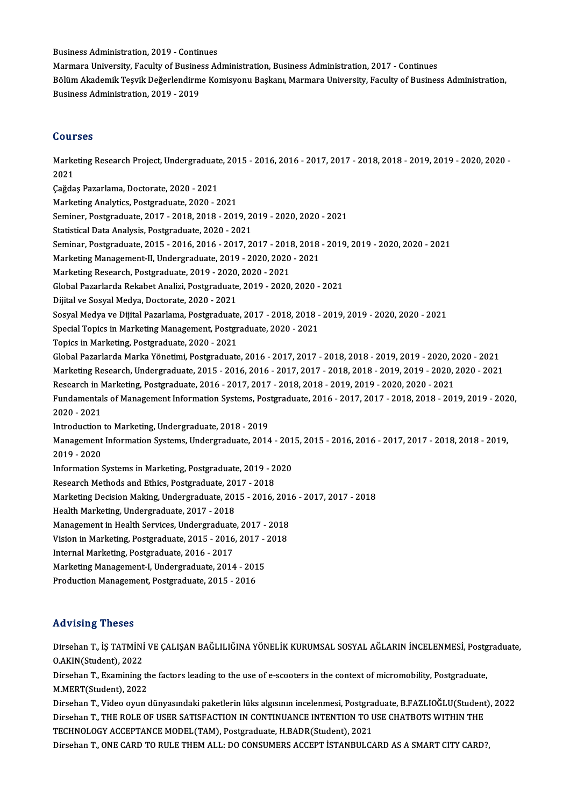BusinessAdministration,2019 -Continues

Business Administration, 2019 - Continues<br>Marmara University, Faculty of Business Administration, Business Administration, 2017 - Continues<br>Bölüm Alsdemik Teavils Değerlendirme Kemisyeny Baskanı Marmara University, Faculty Bölüm Akademik Teşvik Değerlendirme Komisyonu Başkanı, Marmara University, Faculty of Business Administration,<br>Business Administration, 2019 - 2019 Marmara University, Faculty of Busine<br>Bölüm Akademik Teşvik Değerlendirm<br>Business Administration, 2019 - 2019

### Courses

**Courses**<br>Marketing Research Project, Undergraduate, 2015 - 2016, 2016 - 2017, 2017 - 2018, 2018 - 2019, 2019 - 2020, 2020 -<br>2021 Codi<br>Marke<br>2021 Marketing Research Project, Undergraduate<br>2021<br>Çağdaş Pazarlama, Doctorate, 2020 - 2021<br>Marketing Anakutes, Bostareduate, 2020 2021<br>Çağdaş Pazarlama, Doctorate, 2020 - 2021<br>Marketing Analytics, Postgraduate, 2020 - 2021 Çağdaş Pazarlama, Doctorate, 2020 - 2021<br>Marketing Analytics, Postgraduate, 2020 - 2021<br>Seminer, Postgraduate, 2017 - 2018, 2018 - 2019, 2019 - 2020, 2020 - 2021<br>Statistical Data Analysis, Rostgraduate, 2020, 2021 Marketing Analytics, Postgraduate, 2020 - 2021<br>Seminer, Postgraduate, 2017 - 2018, 2018 - 2019, 20<br>Statistical Data Analysis, Postgraduate, 2020 - 2021<br>Seminer, Postgraduate, 2015 - 2016, 2016, 2017, 20 Seminer, Postgraduate, 2017 - 2018, 2018 - 2019, 2019 - 2020, 2020 - 2021<br>Statistical Data Analysis, Postgraduate, 2020 - 2021<br>Seminar, Postgraduate, 2015 - 2016, 2016 - 2017, 2017 - 2018, 2018 - 2019, 2019 - 2020, 2020 - Statistical Data Analysis, Postgraduate, 2020 - 2021<br>Seminar, Postgraduate, 2015 - 2016, 2016 - 2017, 2017 - 2018, 2018<br>Marketing Management-II, Undergraduate, 2019 - 2020, 2020 - 2021<br>Marketing Besearsh, Bostgraduate, 201 Seminar, Postgraduate, 2015 - 2016, 2016 - 2017, 2017 - 2018<br>Marketing Management-II, Undergraduate, 2019 - 2020, 2020<br>Marketing Research, Postgraduate, 2019 - 2020, 2020 - 2021<br>Clabel Bararlarde Bakabet Analizi, Bostgradu Marketing Management-II, Undergraduate, 2019 - 2020, 2020 - 2021<br>Marketing Research, Postgraduate, 2019 - 2020, 2020 - 2021<br>Global Pazarlarda Rekabet Analizi, Postgraduate, 2019 - 2020, 2020 - 2021<br>Dijital ve Soaval Madyn, Marketing Research, Postgraduate, 2019 - 2020,<br>Global Pazarlarda Rekabet Analizi, Postgraduate<br>Dijital ve Sosyal Medya, Doctorate, 2020 - 2021<br>Sosyal Medya ve Dijital Bazarlama, Bostaraduate Global Pazarlarda Rekabet Analizi, Postgraduate, 2019 - 2020, 2020 - 2021<br>Dijital ve Sosyal Medya, Doctorate, 2020 - 2021<br>Sosyal Medya ve Dijital Pazarlama, Postgraduate, 2017 - 2018, 2018 - 2019, 2019 - 2020, 2020 - 2021<br> Dijital ve Sosyal Medya, Doctorate, 2020 - 2021<br>Sosyal Medya ve Dijital Pazarlama, Postgraduate, 2017 - 2018, 2018 -<br>Special Topics in Marketing Management, Postgraduate, 2020 - 2021<br>Topics in Marketing, Postgraduate, 2020 Sosyal Medya ve Dijital Pazarlama, Postgraduate<br>Special Topics in Marketing Management, Postgr<br>Topics in Marketing, Postgraduate, 2020 - 2021<br>Clabel Pagarlanda Marka Vänetimi, Bostgraduate Special Topics in Marketing Management, Postgraduate, 2020 - 2021<br>Topics in Marketing, Postgraduate, 2020 - 2021<br>Global Pazarlarda Marka Yönetimi, Postgraduate, 2016 - 2017, 2017 - 2018, 2018 - 2019, 2019 - 2020, 2020 - 20 Topics in Marketing, Postgraduate, 2020 - 2021<br>Global Pazarlarda Marka Yönetimi, Postgraduate, 2016 - 2017, 2017 - 2018, 2018 - 2019, 2019 - 2020, 2020 - 2021<br>Marketing Research, Undergraduate, 2015 - 2016, 2016 - 2017, 20 Global Pazarlarda Marka Yönetimi, Postgraduate, 2016 - 2017, 2017 - 2018, 2018 - 2019, 2019 - 2020, 2<br>Marketing Research, Undergraduate, 2015 - 2016, 2016 - 2017, 2017 - 2018, 2018 - 2019, 2019 - 2020, 2<br>Research in Market Marketing Research, Undergraduate, 2015 - 2016, 2016 - 2017, 2017 - 2018, 2018 - 2019, 2019 - 2020, 2020 - 2021<br>Research in Marketing, Postgraduate, 2016 - 2017, 2017 - 2018, 2018 - 2019, 2019 - 2020, 2020 - 2021<br>Fundament Research in Marketing, Postgraduate, 2016 - 2017, 2017 - 2018, 2018 - 2019, 2019 - 2020, 2020 - 2021<br>Fundamentals of Management Information Systems, Postgraduate, 2016 - 2017, 2017 - 2018, 2018 - 20<br>2020 - 2021<br>Introductio Fundamentals of Management Information Systems, Pos<br>2020 - 2021<br>Introduction to Marketing, Undergraduate, 2018 - 2019<br>Management Information Systems, Undergraduate, 2014 2020 - 2021<br>Introduction to Marketing, Undergraduate, 2018 - 2019<br>Management Information Systems, Undergraduate, 2014 - 2015, 2015 - 2016, 2016 - 2017, 2017 - 2018, 2018 - 2019, Introduction<br>Management<br>2019 - 2020<br>Information i Management Information Systems, Undergraduate, 2014 - 201<br>2019 - 2020<br>Information Systems in Marketing, Postgraduate, 2019 - 2020<br>Pessarsh Mathods and Ethiss, Postgraduate, 2017 - 2019 2019 - 2020<br>Information Systems in Marketing, Postgraduate, 2019 - 2<br>Research Methods and Ethics, Postgraduate, 2017 - 2018<br>Marketing Desision Meking, Undergraduate, 2015 - 2016 Information Systems in Marketing, Postgraduate, 2019 - 2020<br>Research Methods and Ethics, Postgraduate, 2017 - 2018<br>Marketing Decision Making, Undergraduate, 2015 - 2016, 2016 - 2017, 2017 - 2018<br>Heelth Marketing, Undergrad Research Methods and Ethics, Postgraduate, 20<br>Marketing Decision Making, Undergraduate, 201<br>Health Marketing, Undergraduate, 2017 - 2018<br>Managamant in Health Sawises, Undergraduate Marketing Decision Making, Undergraduate, 2015 - 2016, 201<br>Health Marketing, Undergraduate, 2017 - 2018<br>Management in Health Services, Undergraduate, 2017 - 2018<br>Vision in Marketing, Restanduate, 2015, 2016, 2017, 2019 Health Marketing, Undergraduate, 2017 - 2018<br>Management in Health Services, Undergraduate, 2017 - 2018<br>Vision in Marketing, Postgraduate, 2015 - 2016, 2017 - 2018<br>Internal Marketing, Postgraduate, 2016 - 2017 Management in Health Services, Undergraduate<br>Vision in Marketing, Postgraduate, 2015 - 2016<br>Internal Marketing, Postgraduate, 2016 - 2017<br>Marketing Management L Undergraduate, 2014 Vision in Marketing, Postgraduate, 2015 - 2016, 2017 - 2018<br>Internal Marketing, Postgraduate, 2016 - 2017<br>Marketing Management-I, Undergraduate, 2014 - 2015 Production Management, Postgraduate, 2015 - 2016

### Advising Theses

Advising Theses<br>Dirsehan T., İŞ TATMİNİ VE ÇALIŞAN BAĞLILIĞINA YÖNELİK KURUMSAL SOSYAL AĞLARIN İNCELENMESİ, Postgraduate,<br>QAKIN(Student), 2022 Navising Theses<br>Dirsehan T., İŞ TATMİNİ<br>O.AKIN(Student), 2022<br>Dirsehan T. Evemining t Dirsehan T., İŞ TATMİNİ VE ÇALIŞAN BAĞLILIĞINA YÖNELİK KURUMSAL SOSYAL AĞLARIN İNCELENMESİ, Postg<br>O.AKIN(Student), 2022<br>Dirsehan T., Examining the factors leading to the use of e-scooters in the context of micromobility, P

O.AKIN(Student), 2022<br>Dirsehan T., Examining th<br>M.MERT(Student), 2022<br>Dirseban T. Video suur Dirsehan T., Examining the factors leading to the use of e-scooters in the context of micromobility, Postgraduate,<br>M.MERT(Student), 2022<br>Dirsehan T., Video oyun dünyasındaki paketlerin lüks algısının incelenmesi, Postgradu

M.MERT(Student), 2022<br>Dirsehan T., Video oyun dünyasındaki paketlerin lüks algısının incelenmesi, Postgraduate, B.FAZLIOĞLU(Student<br>Dirsehan T., THE ROLE OF USER SATISFACTION IN CONTINUANCE INTENTION TO USE CHATBOTS WITHIN Dirsehan T., Video oyun dünyasındaki paketlerin lüks algısının incelenmesi, Postgra<br>Dirsehan T., THE ROLE OF USER SATISFACTION IN CONTINUANCE INTENTION TO L<br>TECHNOLOGY ACCEPTANCE MODEL(TAM), Postgraduate, H.BADR(Student), Dirsehan T., THE ROLE OF USER SATISFACTION IN CONTINUANCE INTENTION TO USE CHATBOTS WITHIN THE<br>TECHNOLOGY ACCEPTANCE MODEL(TAM), Postgraduate, H.BADR(Student), 2021<br>Dirsehan T., ONE CARD TO RULE THEM ALL: DO CONSUMERS ACCE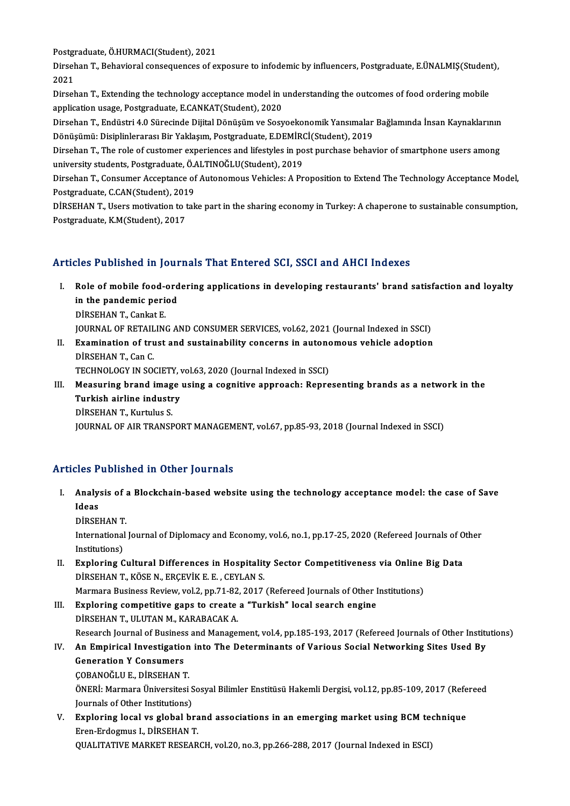Postgraduate,Ö.HURMACI(Student),2021

Postgraduate, Ö.HURMACI(Student), 2021<br>Dirsehan T., Behavioral consequences of exposure to infodemic by influencers, Postgraduate, E.ÜNALMIŞ(Student), Postgi<br>Dirsel<br>2021<br>Dirsel Dirsehan T., Behavioral consequences of exposure to infodemic by influencers, Postgraduate, E.ÜNALMIŞ(Student<br>2021<br>Dirsehan T., Extending the technology acceptance model in understanding the outcomes of food ordering mobil

2021<br>Dirsehan T., Extending the technology acceptance model in understanding the outcomes of food ordering mobile<br>application usage, Postgraduate, E.CANKAT(Student), 2020 Dirsehan T., Extending the technology acceptance model in understanding the outcomes of food ordering mobile<br>application usage, Postgraduate, E.CANKAT(Student), 2020<br>Dirsehan T., Endüstri 4.0 Sürecinde Dijital Dönüşüm ve S

application usage, Postgraduate, E.CANKAT(Student), 2020<br>Dirsehan T., Endüstri 4.0 Sürecinde Dijital Dönüşüm ve Sosyoekonomik Yansımalar<br>Dönüşümü: Disiplinlerarası Bir Yaklaşım, Postgraduate, E.DEMİRCİ(Student), 2019<br>Dirse Dirsehan T., Endüstri 4.0 Sürecinde Dijital Dönüşüm ve Sosyoekonomik Yansımalar Bağlamında İnsan Kaynaklarının<br>Dönüşümü: Disiplinlerarası Bir Yaklaşım, Postgraduate, E.DEMİRCİ(Student), 2019<br>Dirsehan T., The role of custom

Dönüşümü: Disiplinlerarası Bir Yaklaşım, Postgraduate, E.DEMİRCİ(Student), 2019<br>Dirsehan T., The role of customer experiences and lifestyles in post purchase behavior of smartphone users among<br>university students, Postgrad Dirsehan T., The role of customer experiences and lifestyles in post purchase behavior of smartphone users among<br>university students, Postgraduate, Ö.ALTINOĞLU(Student), 2019<br>Dirsehan T., Consumer Acceptance of Autonomous

university students, Postgraduate, Ö./<br>Dirsehan T., Consumer Acceptance of<br>Postgraduate, C.CAN(Student), 2019<br>DiRSEHAN T. Hears mativation to tak Dirsehan T., Consumer Acceptance of Autonomous Vehicles: A Proposition to Extend The Technology Acceptance Model,<br>Postgraduate, C.CAN(Student), 2019<br>DIRSEHAN T., Users motivation to take part in the sharing economy in Turk

Postgraduate, C.CAN(Student), 2019<br>DİRSEHAN T., Users motivation to take part in the sharing economy in Turkey: A chaperone to sustainable consumption,<br>Postgraduate, K.M(Student), 2017

## Articles Published in Journals That Entered SCI, SSCI and AHCI Indexes

- rticles Published in Journals That Entered SCI, SSCI and AHCI Indexes<br>I. Role of mobile food-ordering applications in developing restaurants' brand satisfaction and loyalty<br>in the pandemic period Role of mobile food-ord<br>in the pandemic period<br>DinseuAN T. Conkrt E Role of mobile food-<br>in the pandemic peric<br>DİRSEHAN T., Cankat E.<br>JOUPNAL OF PETALLIN in the pandemic period<br>DİRSEHAN T., Cankat E.<br>JOURNAL OF RETAILING AND CONSUMER SERVICES, vol.62, 2021 (Journal Indexed in SSCI)<br>Examination of trust and sustainability senserns in autonomeus vobisle adontion DIRSEHAN T., Cankat E.<br>JOURNAL OF RETAILING AND CONSUMER SERVICES, vol.62, 2021 (Journal Indexed in SSCI)<br>II. Examination of trust and sustainability concerns in autonomous vehicle adoption<br>DIRSEHAN T. Can C.
- **JOURNAL OF RETAIL<br>Examination of tru<br>DİRSEHAN T., Can C.<br>TECHNOLOCY IN SOC** Examination of trust and sustainability concerns in autono<br>DIRSEHAN T., Can C.<br>TECHNOLOGY IN SOCIETY, vol.63, 2020 (Journal Indexed in SSCI)<br>Measuring brand image using a segnitive approach: Benne TECHNOLOGY IN SOCIETY, vol.63, 2020 (Journal Indexed in SSCI)

DIRSEHAN T., Can C.<br>TECHNOLOGY IN SOCIETY, vol.63, 2020 (Journal Indexed in SSCI)<br>III. Measuring brand image using a cognitive approach: Representing brands as a network in the<br>Turkish airline industry DİRSEHANT.,Kurtulus S. JOURNAL OF AIR TRANSPORT MANAGEMENT, vol.67, pp.85-93, 2018 (Journal Indexed in SSCI)

### Articles Published in Other Journals

rticles Published in Other Journals<br>I. Analysis of a Blockchain-based website using the technology acceptance model: the case of Save<br>Ideas Ideas<br>DİRSEHAN T. Analysis of a<br>Ideas<br>DİRSEHAN T.<br>International

Ideas<br>DİRSEHAN T.<br>International Journal of Diplomacy and Economy, vol.6, no.1, pp.17-25, 2020 (Refereed Journals of Other<br>Institutions) DİRSEHAN T<br>International<br>Institutions)<br>Exploring C International Journal of Diplomacy and Economy, vol.6, no.1, pp.17-25, 2020 (Refereed Journals of O<br>Institutions)<br>II. Exploring Cultural Differences in Hospitality Sector Competitiveness via Online Big Data<br>Dipseuant T KÖS

Institutions)<br><mark>Exploring Cultural Differences in Hospitalit</mark><br>DİRSEHAN T., KÖSE N., ERÇEVİK E. E. , CEYLAN S.<br>Marmara Business Beview, vol 2, nn 71, 92, 2017 Exploring Cultural Differences in Hospitality Sector Competitiveness via Online<br>DiRSEHAN T., KÖSE N., ERÇEVİK E. E. , CEYLAN S.<br>Marmara Business Review, vol.2, pp.71-82, 2017 (Refereed Journals of Other Institutions)<br>Explo

- DIRSEHAN T., KÖSE N., ERÇEVIK E. E. , CEYLAN S.<br>Marmara Business Review, vol.2, pp.71-82, 2017 (Refereed Journals of Other I<br>III. Exploring competitive gaps to create a "Turkish" local search engine<br>DiREHAN T. III UTAN M. Marmara Business Review, vol.2, pp.71-82<br>Exploring competitive gaps to create<br>DİRSEHAN T., ULUTAN M., KARABACAK A.<br>Besearsh Journal of Business and Manage Exploring competitive gaps to create a "Turkish" local search engine<br>DİRSEHAN T., ULUTAN M., KARABACAK A.<br>Research Journal of Business and Management, vol.4, pp.185-193, 2017 (Refereed Journals of Other Institutions)<br>An Em DIRSEHAN T., ULUTAN M., KARABACAK A.<br>Research Journal of Business and Management, vol.4, pp.185-193, 2017 (Refereed Journals of Other Institution<br>IV. An Empirical Investigation into The Determinants of Various Social Netwo
- Research Journal of Busines<br>An Empirical Investigatio<br>Generation Y Consumers<br>CORANOČIJI E D<sup>inceu</sup>AN 1 IV. An Empirical Investigation into The Determinants of Various Social Networking Sites Used By<br>Generation Y Consumers<br>COBANOĞLU E., DİRSEHAN T.

Generation Y Consumers<br>ÇOBANOĞLU E., DİRSEHAN T.<br>ÖNERİ: Marmara Üniversitesi Sosyal Bilimler Enstitüsü Hakemli Dergisi, vol.12, pp.85-109, 2017 (Refereed ÇOBANOĞLU E., DİRSEHAN T.<br>ÖNERİ: Marmara Üniversitesi S<br>Journals of Other Institutions)<br>Euplering legal ve glabal bı ÖNERİ: Marmara Üniversitesi Sosyal Bilimler Enstitüsü Hakemli Dergisi, vol.12, pp.85-109, 2017 (Refe<br>Journals of Other Institutions)<br>V. Exploring local vs global brand associations in an emerging market using BCM technique

Journals of Other Institutions)<br>Exploring local vs global bra<br>Eren-Erdogmus I., DİRSEHAN T.<br>OUALITATIVE MARKET RESEAR Exploring local vs global brand associations in an emerging market using BCM te<br>Eren-Erdogmus I., DİRSEHAN T.<br>QUALITATIVE MARKET RESEARCH, vol.20, no.3, pp.266-288, 2017 (Journal Indexed in ESCI)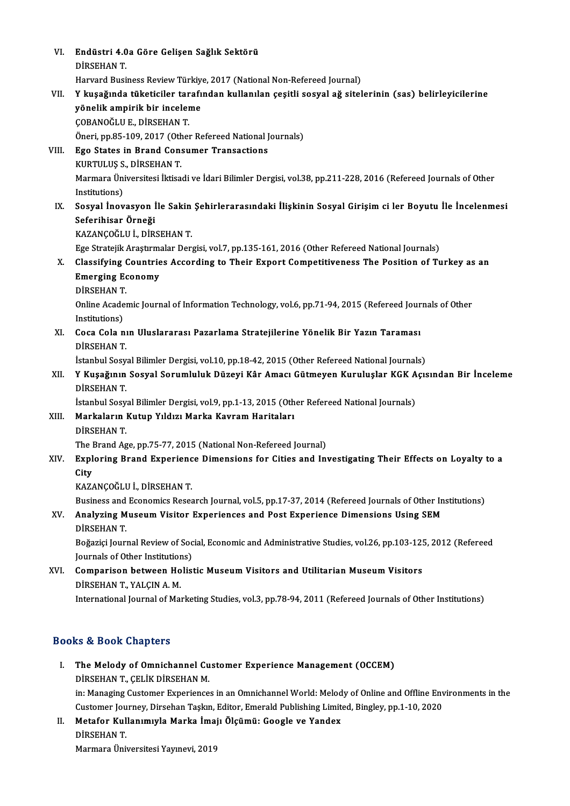VI. Endüstri 4.0a Göre Gelişen Sağlık Sektörü Endüstri 4.0<br>DİRSEHAN T.<br>Haward Busi DİRSEHAN T.<br>Harvard Business Review Türkiye, 2017 (National Non-Refereed Journal) DİRSEHAN T.<br>Harvard Business Review Türkiye, 2017 (National Non-Refereed Journal)<br>VII. Y kuşağında tüketiciler tarafından kullanılan çeşitli sosyal ağ sitelerinin (sas) belirleyicilerine<br>vönelik empirik bir inceleme Harvard Business Review Türkiy<br>Y kuşağında tüketiciler tarafı<br>yönelik ampirik bir inceleme<br>COBANOČLUE DİRSEHAN T Y kuşağında tüketiciler tar<br>yönelik ampirik bir inceler<br>ÇOBANOĞLUE., DİRSEHANT.<br>Öneri pp 95,109,2017 (Other yönelik ampirik bir inceleme<br>ÇOBANOĞLU E., DİRSEHAN T.<br>Öneri, pp.85-109, 2017 (Other Refereed National Journals)<br>Fge States in Brand Consumer Transastions COBANOĞLU E., DİRSEHAN T.<br>Öneri, pp.85-109, 2017 (Other Refereed National J<br>VIII. Ego States in Brand Consumer Transactions<br>KURTULUS S., DİRSEHAN T. Öneri, pp.85-109, 2017 (Oth<br>Ego States in Brand Cons<br>KURTULUŞ S., DİRSEHAN T.<br>Marmara Üniversitesi İktisa Ego States in Brand Consumer Transactions<br>KURTULUŞ S., DİRSEHAN T.<br>Marmara Üniversitesi İktisadi ve İdari Bilimler Dergisi, vol.38, pp.211-228, 2016 (Refereed Journals of Other<br>Institutione) KURTULUŞ S<br>Marmara Üni<br>Institutions)<br>Socual İnov Marmara Üniversitesi İktisadi ve İdari Bilimler Dergisi, vol.38, pp.211-228, 2016 (Refereed Journals of Other<br>Institutions)<br>IX. Sosyal İnovasyon İle Sakin Şehirlerarasındaki İlişkinin Sosyal Girişim ci ler Boyutu İle İncel Institutions)<br>IX. Sosyal İnovasyon İle Sakin Şehirlerarasındaki İlişkinin Sosyal Girişim ci ler Boyutu İle İncelenmesi<br>Seferihisar Örneği KAZANÇOĞLUİ.,DİRSEHANT. Seferihisar Örneği<br>KAZANÇOĞLU İ., DİRSEHAN T.<br>Ege Stratejik Araştırmalar Dergisi, vol.7, pp.135-161, 2016 (Other Refereed National Journals)<br>Classifying Countries Assording to Their Eunest Competitiveness The Position of T KAZANÇOĞLU İ., DİRSEHAN T.<br>Ege Stratejik Araştırmalar Dergisi, vol.7, pp.135-161, 2016 (Other Refereed National Journals)<br>X. Classifying Countries According to Their Export Competitiveness The Position of Turkey as an<br> Ege Stratejik Araştırmı<br>Classifying Countrie<br>Emerging Economy<br>DinsEHAN T Classifying<br>Emerging Ec<br>DİRSEHAN T.<br>Online Acades Emerging Economy<br>DİRSEHAN T.<br>Online Academic Journal of Information Technology, vol.6, pp.71-94, 2015 (Refereed Journals of Other<br>Institutione) DIRSEHAN T<br>Online Acade<br>Institutions)<br>Cose Cala n Online Academic Journal of Information Technology, vol.6, pp.71-94, 2015 (Refereed Jour<br>Institutions)<br>XI. Coca Cola nın Uluslararası Pazarlama Stratejilerine Yönelik Bir Yazın Taraması<br>Dipseuan T Institutions)<br>XI. Coca Cola nın Uluslararası Pazarlama Stratejilerine Yönelik Bir Yazın Taraması<br>DİRSEHAN T. Coca Cola nın Uluslararası Pazarlama Stratejilerine Yönelik Bir Yazın Taraması<br>DİRSEHAN T.<br>İstanbul Sosyal Bilimler Dergisi, vol.10, pp.18-42, 2015 (Other Refereed National Journals)<br>V Kusağının Sosyal Sorumluluk Dügeyi Kâ DİRSEHAN T.<br>İstanbul Sosyal Bilimler Dergisi, vol.10, pp.18-42, 2015 (Other Refereed National Journals)<br>XII. Y Kuşağının Sosyal Sorumluluk Düzeyi Kâr Amacı Gütmeyen Kuruluşlar KGK Açısından Bir İnceleme<br>DİRSEYAN T İstanbul Sosy<br>Y Kuşağının<br>DİRSEHAN T.<br>İstanbul Sosy Y Kuşağının Sosyal Sorumluluk Düzeyi Kâr Amacı Gütmeyen Kuruluşlar KGK A<br>DİRSEHAN T.<br>İstanbul Sosyal Bilimler Dergisi, vol.9, pp.1-13, 2015 (Other Refereed National Journals)<br>Markaların Kutun Yıldızı Marka Kayram Haritalar DİRSEHAN T.<br>İstanbul Sosyal Bilimler Dergisi, vol.9, pp.1-13, 2015 (Oth<br>XIII. Markaların Kutup Yıldızı Marka Kavram Haritaları<br>DİRSEHAN T. İstanbul Sosyal Bilimler Dergisi, vol.9, pp.1-13, 2015 (Other Refereed National Journals) Markaların Kutup Yıldızı Marka Kavram Haritaları<br>DİRSEHAN T.<br>The Brand Age, pp.75-77, 2015 (National Non-Refereed Journal)<br>Euplering Brand Euperianes Dimensians for Gities and In: XIV. Exploring Brand Experience Dimensions for Cities and Investigating Their Effects on Loyalty to a The I<br><mark>Expl</mark><br>City<br><sup>KA7/</sup> KAZANÇOĞLUİ.,DİRSEHANT. City<br>KAZANÇOĞLU İ., DİRSEHAN T.<br>Business and Economics Research Journal, vol.5, pp.17-37, 2014 (Refereed Journals of Other Institutions)<br>Analyging Museum Visitor Experiences and Post Experience Dimensions Heing SEM KAZANÇOĞLU İ., DİRSEHAN T.<br>Business and Economics Research Journal, vol.5, pp.17-37, 2014 (Refereed Journals of Other In<br>XV. Analyzing Museum Visitor Experiences and Post Experience Dimensions Using SEM<br>DIRSEHAN T Business and<br>**Analyzing M**<br>DİRSEHAN T.<br>Požazisi Jaum Analyzing Museum Visitor Experiences and Post Experience Dimensions Using SEM<br>DİRSEHAN T.<br>Boğaziçi Journal Review of Social, Economic and Administrative Studies, vol.26, pp.103-125, 2012 (Refereed<br>Journals of Other Institu DİRSEHAN T.<br>Boğaziçi Journal Review of Soc<br>Journals of Other Institutions)<br>Comnarison between Holist Boğaziçi Journal Review of Social, Economic and Administrative Studies, vol.26, pp.103-12!<br>Journals of Other Institutions)<br>XVI. Comparison between Holistic Museum Visitors and Utilitarian Museum Visitors<br>DiperMANT VALGINA Journals of Other Institution<br>Comparison between Ho<br>DİRSEHAN T., YALÇIN A. M.<br>International Journal of Ma DIRSEHAN T., YALÇIN A. M.<br>International Journal of Marketing Studies, vol.3, pp.78-94, 2011 (Refereed Journals of Other Institutions) Books&Book Chapters OOks & Book Chapters<br>I. The Melody of Omnichannel Customer Experience Management (OCCEM)<br>DiRSEHAN T. CELIK DIRSEHAN M

- IS & BOOK GRAPERS<br>The Melody of Omnichannel Cu<br>DİRSEHAN T., ÇELİK DİRSEHAN M. The Melody of Omnichannel Customer Experience Management (OCCEM)<br>DİRSEHAN T., ÇELİK DİRSEHAN M.<br>in: Managing Customer Experiences in an Omnichannel World: Melody of Online and Offline Environments in the<br>Customer Journay, DİRSEHAN T., ÇELİK DİRSEHAN M.<br>in: Managing Customer Experiences in an Omnichannel World: Melody of Online and Offline Env<br>Customer Journey, Dirsehan Taşkın, Editor, Emerald Publishing Limited, Bingley, pp.1-10, 2020<br>Metaf
- in: Managing Customer Experiences in an Omnichannel World: Melod<br>Customer Journey, Dirsehan Taşkın, Editor, Emerald Publishing Limit<br>II. Metafor Kullanımıyla Marka İmajı Ölçümü: Google ve Yandex<br>Dirseyan T Customer Jou<br>Metafor Kul<br>DİRSEHAN T.<br>Manmara Üni Metafor Kullanımıyla Marka İmaj<br>DİRSEHAN T.<br>Marmara Üniversitesi Yayınevi, 2019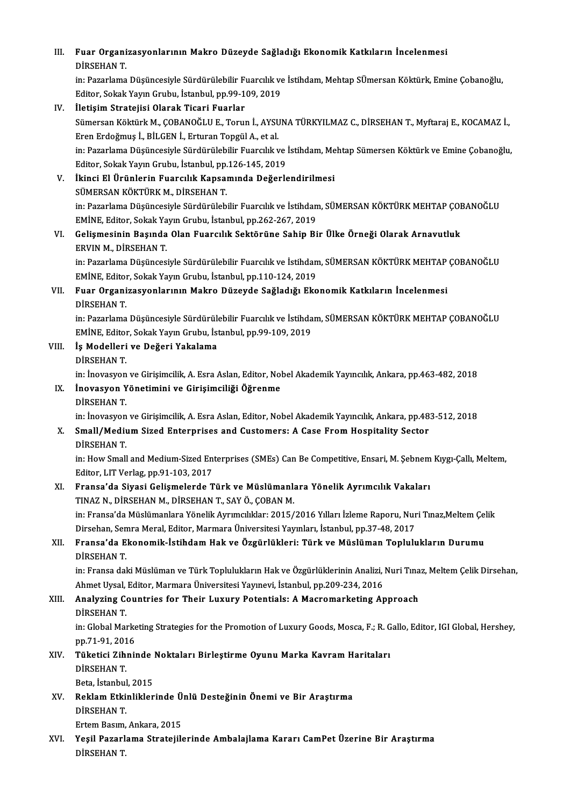## III. Fuar Organizasyonlarının Makro Düzeyde Sağladığı Ekonomik Katkıların İncelenmesi<br>DİREHAN T Fuar Organi<br>DİRSEHAN T.<br>in: Pererlama

DİRSEHAN T.<br>in: Pazarlama Düşüncesiyle Sürdürülebilir Fuarcılık ve İstihdam, Mehtap SÜmersan Köktürk, Emine Çobanoğlu, Editor, Sokak Yayın Grubu, İstanbul, pp.99-109, 2019

## IV. İletişim Stratejisi Olarak Ticari Fuarlar Editor, Sokak Yayın Grubu, İstanbul, pp.99-109, 2019<br>İletişim Stratejisi Olarak Ticari Fuarlar<br>Sümersan Köktürk M., ÇOBANOĞLU E., Torun İ., AYSUNA TÜRKYILMAZ C., DİRSEHAN T., Myftaraj E., KOCAMAZ İ.,<br>Eren Erdeğmus İ. Bil C İletişim Stratejisi Olarak Ticari Fuarlar<br>Sümersan Köktürk M., ÇOBANOĞLU E., Torun İ., AYSU<br>Eren Erdoğmuş İ., BİLGEN İ., Erturan Topgül A., et al.<br>in: Pazarlama Düçüncesiyle Sürdürülebilir Euarcılık u Sümersan Köktürk M., ÇOBANOĞLU E., Torun İ., AYSUNA TÜRKYILMAZ C., DİRSEHAN T., Myftaraj E., KOCAMAZ İ.,<br>Eren Erdoğmuş İ., BİLGEN İ., Erturan Topgül A., et al.<br>in: Pazarlama Düşüncesiyle Sürdürülebilir Fuarcılık ve İstihda Eren Erdoğmuş İ., BİLGEN İ., Erturan Topgül A., et al.<br>in: Pazarlama Düşüncesiyle Sürdürülebilir Fuarcılık ve İstihdam, Mehtap Sümersen Köktürk ve Emine Çobanoğlu,<br>Editor, Sokak Yayın Grubu, İstanbul, pp.126-145, 2019 in: Pazarlama Düşüncesiyle Sürdürülebilir Fuarcılık ve İstihdam, Me<br>Editor, Sokak Yayın Grubu, İstanbul, pp.126-145, 2019<br>V. İkinci El Ürünlerin Fuarcılık Kapsamında Değerlendirilmesi<br>SÜMERSAN KÖKTÜRK M. DİRSEHAN T

## Editor, Sokak Yayın Grubu, İstanbul, pp.<br>İkinci El Ürünlerin Fuarcılık Kapsaı<br>SÜMERSAN KÖKTÜRK M., DİRSEHAN T.<br>in: Pezerlama Düşüncesiyle Sürdürüleb İkinci El Ürünlerin Fuarcılık Kapsamında Değerlendirilmesi<br>SÜMERSAN KÖKTÜRK M., DİRSEHAN T.<br>in: Pazarlama Düşüncesiyle Sürdürülebilir Fuarcılık ve İstihdam, SÜMERSAN KÖKTÜRK MEHTAP ÇOBANOĞLU<br>EMİNE Editor Solok Yayın Crubu, SÜMERSAN KÖKTÜRK M., DİRSEHAN T.<br>in: Pazarlama Düşüncesiyle Sürdürülebilir Fuarcılık ve İstihdan<br>EMİNE, Editor, Sokak Yayın Grubu, İstanbul, pp.262-267, 2019<br>Colismesinin Basında Olan Euensılık Soktönüne Sabin Bi in: Pazarlama Düşüncesiyle Sürdürülebilir Fuarcılık ve İstihdam, SÜMERSAN KÖKTÜRK MEHTAP ÇOF<br>EMİNE, Editor, Sokak Yayın Grubu, İstanbul, pp.262-267, 2019<br>VI. Gelişmesinin Başında Olan Fuarcılık Sektörüne Sahip Bir Ülke Örn

## EMİNE, Editor, Sokak Ya<br>Gelişmesinin Başında<br>ERVIN M., DİRSEHAN T.<br>in: Bazarlama Düşünges Gelişmesinin Başında Olan Fuarcılık Sektörüne Sahip Bir Ülke Örneği Olarak Arnavutluk<br>ERVIN M., DİRSEHAN T.<br>in: Pazarlama Düşüncesiyle Sürdürülebilir Fuarcılık ve İstihdam, SÜMERSAN KÖKTÜRK MEHTAP ÇOBANOĞLU<br>EMİNE Editor So

ERVIN M., DİRSEHAN T.<br>in: Pazarlama Düşüncesiyle Sürdürülebilir Fuarcılık ve İstihdan<br>EMİNE, Editor, Sokak Yayın Grubu, İstanbul, pp.110-124, 2019<br>Euan Organiyasyonlarının Makro Düreyde Sağladığı Eko in: Pazarlama Düşüncesiyle Sürdürülebilir Fuarcılık ve İstihdam, SÜMERSAN KÖKTÜRK MEHTAP<br>EMİNE, Editor, Sokak Yayın Grubu, İstanbul, pp.110-124, 2019<br>VII. Fuar Organizasyonlarının Makro Düzeyde Sağladığı Ekonomik Katkı

## EMİNE, Editol<br>Fuar Organi<br>DİRSEHAN T.<br>in: Pazarlama Fuar Organizasyonlarının Makro Düzeyde Sağladığı Ekonomik Katkıların İncelenmesi<br>DİRSEHAN T.<br>in: Pazarlama Düşüncesiyle Sürdürülebilir Fuarcılık ve İstihdam, SÜMERSAN KÖKTÜRK MEHTAP ÇOBANOĞLU<br>EMİNE Editar Sakak Yayın Cırıb

DİRSEHAN T.<br>in: Pazarlama Düşüncesiyle Sürdürülebilir Fuarcılık ve İstihda<br>EMİNE, Editor, Sokak Yayın Grubu, İstanbul, pp.99-109, 2019<br>İs Modelleri ve Değeri Yakalama EMİNE, Editor, Sokak Yayın Grubu, İstanbul, pp.99-109, 2019

VIII. İş Modelleri ve Değeri Yakalama<br>DİRSEHAN T. in: İnovasyon ve Girişimcilik, A. Esra Aslan, Editor, Nobel Akademik Yayıncılık, Ankara, pp.463-482, 2018 DİRSEHAN T.<br>in: İnovasyon ve Girişimcilik, A. Esra Aslan, Editor, Nol<br>IX. İnovasyon Yönetimini ve Girişimciliği Öğrenme<br>pipseyan T

## in: İnovasyon<br>**İnovasyon Y**<br>DİRSEHAN T.<br>in: İnovasyon İnovasyon Yönetimini ve Girişimciliği Öğrenme<br>DİRSEHAN T.<br>in: İnovasyon ve Girişimcilik, A. Esra Aslan, Editor, Nobel Akademik Yayıncılık, Ankara, pp.483-512, 2018<br>Small (Madium Sirad Enterprises and Gustamers: A Gase Erem

## DİRSEHAN T.<br>in: İnovasyon ve Girişimcilik, A. Esra Aslan, Editor, Nobel Akademik Yayıncılık, Ankara, pp.48<br>X. Small/Medium Sized Enterprises and Customers: A Case From Hospitality Sector<br>DİRSEHAN T. in: İnovasyon<br>S<mark>mall/Medi</mark>u<br>DİRSEHAN T.<br>in: How Small

Small/Medium Sized Enterprises and Customers: A Case From Hospitality Sector<br>DİRSEHAN T.<br>in: How Small and Medium-Sized Enterprises (SMEs) Can Be Competitive, Ensari, M. Şebnem Kıygı-Çallı, Meltem,<br>Editer J.I.T.Verleg np.9 DİRSEHAN T.<br>in: How Small and Medium-Sized En<br>Editor, LIT Verlag, pp.91-103, 2017<br>Enansa'da Siyasi Calismalanda T in: How Small and Medium-Sized Enterprises (SMEs) Can Be Competitive, Ensari, M. Şebnem<br>Editor, LIT Verlag, pp.91-103, 2017<br>XI. Fransa'da Siyasi Gelişmelerde Türk ve Müslümanlara Yönelik Ayrımcılık Vakaları<br>TINAZ N. DİRSEH

## Editor, LIT Verlag, pp.91-103, 2017<br>Fransa'da Siyasi Gelişmelerde Türk ve Müslümanlı<br>TINAZ N., DİRSEHAN M., DİRSEHAN T., SAY Ö., ÇOBAN M.<br>in: Eransa'da Müslümanlara Yönelik Armmalıldan 2015 ( TINAZ N., DİRSEHAN M., DİRSEHAN T., SAY Ö., ÇOBAN M.<br>in: Fransa'da Müslümanlara Yönelik Ayrımcılıklar: 2015/2016 Yılları İzleme Raporu, Nuri Tınaz,Meltem Çelik

TINAZ N., DİRSEHAN M., DİRSEHAN T., SAY Ö., ÇOBAN M.<br>in: Fransa'da Müslümanlara Yönelik Ayrımcılıklar: 2015/2016 Yılları İzleme Raporu, Nur<br>Dirsehan, Semra Meral, Editor, Marmara Üniversitesi Yayınları, İstanbul, pp.37-48,

## XII. Fransa'da Ekonomik-İstihdam Hak ve Özgürlükleri: Türk ve Müslüman Toplulukların Durumu<br>DİRSEHAN T. Dirsehan, Sen<br><mark>Fransa'da E</mark><br>DİRSEHAN T.<br>in: Eransa dal</mark> Fransa'da Ekonomik-İstihdam Hak ve Özgürlükleri: Türk ve Müslüman Toplulukların Durumu<br>DİRSEHAN T.<br>in: Fransa daki Müslüman ve Türk Toplulukların Hak ve Özgürlüklerinin Analizi, Nuri Tınaz, Meltem Çelik Dirsehan,<br>Ahmet Uvc

DİRSEHAN T.<br>in: Fransa daki Müslüman ve Türk Toplulukların Hak ve Özgürlüklerinin Analizi,<br>Ahmet Uysal, Editor, Marmara Üniversitesi Yayınevi, İstanbul, pp.209-234, 2016<br>Analyging Countries for Their Luxury Petentialsı A M in: Fransa daki Müslüman ve Türk Toplulukların Hak ve Özgürlüklerinin Analizi, Nuri Tına<br>Ahmet Uysal, Editor, Marmara Üniversitesi Yayınevi, İstanbul, pp.209-234, 2016<br>XIII. Analyzing Countries for Their Luxury Potenti

## Ahmet Uysal, Editor, Marmara Üniversitesi Yayınevi, İstanbul, pp.209-234, 2016<br>XIII. Analyzing Countries for Their Luxury Potentials: A Macromarketing Approach<br>DİRSEHAN T.

Analyzing Countries for Their Luxury Potentials: A Macromarketing Approach<br>DİRSEHAN T.<br>in: Global Marketing Strategies for the Promotion of Luxury Goods, Mosca, F.; R. Gallo, Editor, IGI Global, Hershey,<br>nn 71-01-2016 DİRSEHAN T.<br>in: Global Marke<br>pp.71-91, 2016<br>Tükatisi Zihni: in: Global Marketing Strategies for the Promotion of Luxury Goods, Mosca, F.; R. G<br>pp.71-91, 2016<br>XIV. Tüketici Zihninde Noktaları Birleştirme Oyunu Marka Kavram Haritaları<br>pipceu AN T

## pp.71-91, 201<br><mark>Tüketici Zih</mark><br>DİRSEHAN T.<br>Peta İstanbul Tüketici Zihninde<br>DİRSEHAN T.<br>Beta, İstanbul, 2015<br>Beklam Etkinlikler

## DİRSEHAN T.<br>Beta, İstanbul, 2015<br>XV. Reklam Etkinliklerinde Ünlü Desteğinin Önemi ve Bir Araştırma<br>DİRSEHAN T Beta, İstanbul<br>Reklam Etki<br>DİRSEHAN T.<br>Ertem Basım Reklam Etkinliklerinde Ü<br>DİRSEHAN T.<br>Ertem Basım, Ankara, 2015<br>Yesil Bagarlama Stratejile

DİRSEHAN T.<br>Ertem Basım, Ankara, 2015<br>XVI. Yeşil Pazarlama Stratejilerinde Ambalajlama Kararı CamPet Üzerine Bir Araştırma<br>DİRSEHAN T Ertem Basım,<br>Yeşil <mark>Pazarl</mark><br>DİRSEHAN T.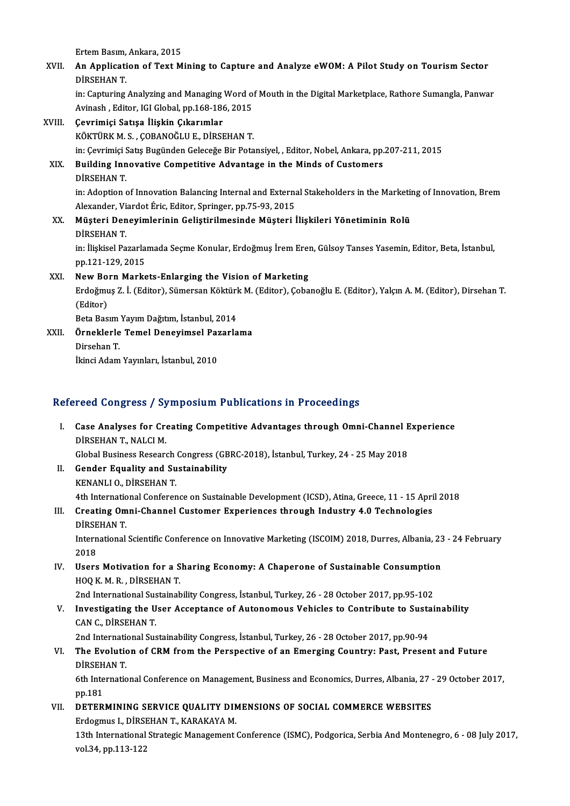Ertem Basım, Ankara, 2015

- Ertem Basım, Ankara, 2015<br>XVII. An Application of Text Mining to Capture and Analyze eWOM: A Pilot Study on Tourism Sector Ertem Basım,<br>**An Applicati**<br>DİRSEHAN T.<br>in: Conturing An Application of Text Mining to Capture and Analyze eWOM: A Pilot Study on Tourism Sector<br>DİRSEHAN T.<br>in: Capturing Analyzing and Managing Word of Mouth in the Digital Marketplace, Rathore Sumangla, Panwar<br>Avinach, Editor DİRSEHAN T.<br>in: Capturing Analyzing and Managing Word of Mouth in the Digital Marketplace, Rathore Sumangla, Panwar<br>Avinash , Editor, IGI Global, pp.168-186, 2015 XVIII. Çevrimiçi Satışa İlişkin Çıkarımlar KÖKTÜRKM.S. ,ÇOBANOĞLUE.,DİRSEHANT.
	- in: Çevrimiçi Satış Bugünden Geleceğe Bir Potansiyel, , Editor, Nobel, Ankara, pp.207-211, 2015

## KÖKTÜRK M. S. , ÇOBANOĞLU E., DİRSEHAN T.<br>in: Çevrimiçi Satış Bugünden Geleceğe Bir Potansiyel, , Editor, Nobel, Ankara, pp.<br>XIX. Building Innovative Competitive Advantage in the Minds of Customers<br>pipsewan T. in: Çevrimiçi S<br>Building Inn<br>DİRSEHAN T.<br>in: Adontion 4

Building Innovative Competitive Advantage in the Minds of Customers<br>DİRSEHAN T.<br>in: Adoption of Innovation Balancing Internal and External Stakeholders in the Marketing of Innovation, Brem<br>Alexander Vierdet Éris Editor, Sp DİRSEHAN T.<br>in: Adoption of Innovation Balancing Internal and Externa<br>Alexander, Viardot Éric, Editor, Springer, pp.75-93, 2015<br>Müsteri Denevimlerinin Colistinilmesinde Müsteri İ in: Adoption of Innovation Balancing Internal and External Stakeholders in the Marketin<br>Alexander, Viardot Éric, Editor, Springer, pp.75-93, 2015<br>XX. Müşteri Deneyimlerinin Geliştirilmesinde Müşteri İlişkileri Yönetiminin

Alexander, Vi<br><mark>Müşteri Den</mark><br>DİRSEHAN T.<br>in İliskisel Pa Müşteri Deneyimlerinin Geliştirilmesinde Müşteri İlişkileri Yönetiminin Rolü<br>DİRSEHAN T.<br>in: İlişkisel Pazarlamada Seçme Konular, Erdoğmuş İrem Eren, Gülsoy Tanses Yasemin, Editor, Beta, İstanbul,<br>nn 121 129 2015 DİRSEHAN T.<br>in: İlişkisel Pazarla<br>pp.121-129, 2015<br>Navr Pann Marka in: İlişkisel Pazarlamada Seçme Konular, Erdoğmuş İrem Erem<br>pp.121-129, 2015<br>XXI. New Born Markets-Enlarging the Vision of Marketing<br>Endoğmus 7. İ. (Editor), Sümarsan Költürk M. (Editor), Coba

pp.121-129, 2015<br>New Born Markets-Enlarging the Vision of Marketing<br>Erdoğmuş Z. İ. (Editor), Sümersan Köktürk M. (Editor), Çobanoğlu E. (Editor), Yalçın A. M. (Editor), Dirsehan T New Bo<br>Erdoğmu<br>(Editor)<br><sup>Poto Bos</sup> Erdoğmuş Z. İ. (Editor), Sümersan Köktürl<br>(Editor)<br>Beta Basım Yayım Dağıtım, İstanbul, 2014<br>Önneklerle Temel Denevimasl Barerle (Editor)<br>Beta Basım Yayım Dağıtım, İstanbul, 2014<br>XXII. Örneklerle Temel Deneyimsel Pazarlama<br>Dirsehan T.

Beta Basım Yayım Dağıtım, İstanbul, 2014

- 
- 

İkinci Adam Yayınları, İstanbul, 2010

### Refereed Congress / Symposium Publications in Proceedings

- efereed Congress / Symposium Publications in Proceedings<br>I. Case Analyses for Creating Competitive Advantages through Omni-Channel Experience<br>DiRSEHAN T. NALCLM Community Community Community Community Community Community Community Community Community Community Community Community Community Community Community Community Community Community Community Community Community Community Co Case Analyses for Creating Competitive Advantages through Omni-Channel E<br>DİRSEHAN T., NALCI M.<br>Global Business Research Congress (GBRC-2018), İstanbul, Turkey, 24 - 25 May 2018<br>Condor Fauelity and Sustainability. DİRSEHAN T., NALCI M.<br>Global Business Research Congress (GF<br>II. Gender Equality and Sustainability<br>KENANLI O., DİRSEHAN T.
- Global Business Research<br>Gender Equality and Su<br>KENANLI O., DİRSEHAN T.<br>4th International Conferen 4th International Conference on Sustainable Development (ICSD), Atina, Greece, 11 - 15 April 2018 KENANLI O., DİRSEHAN T.<br>4th International Conference on Sustainable Development (ICSD), Atina, Greece, 11 - 15 Apri<br>III. Creating Omni-Channel Customer Experiences through Industry 4.0 Technologies<br>DiRSEHAN T
- 4th Internation<br>Creating Om<br>DİRSEHAN T. Creating Omni-Channel Customer Experiences through Industry 4.0 Technologies<br>DİRSEHAN T.<br>International Scientific Conference on Innovative Marketing (ISCOIM) 2018, Durres, Albania, 23 - 24 February<br>2019

DIRSE<br>Intern<br>2018<br>Hsers International Scientific Conference on Innovative Marketing (ISCOIM) 2018, Durres, Albania, 23<br>2018<br>IV. Users Motivation for a Sharing Economy: A Chaperone of Sustainable Consumption<br>400 K M P DIPSEHAN T

2018<br>Users Motivation for a S<br>HOQ K. M. R. , DİRSEHAN T.<br>2nd International Sustainab Users Motivation for a Sharing Economy: A Chaperone of Sustainable Consumption<br>HOQ K. M. R. , DİRSEHAN T.<br>2nd International Sustainability Congress, İstanbul, Turkey, 26 - 28 October 2017, pp.95-102<br>Investigating the User

HOQ K. M. R. , DİRSEHAN T.<br>2nd International Sustainability Congress, İstanbul, Turkey, 26 - 28 October 2017, pp.95-102<br>20 V. Investigating the User Acceptance of Autonomous Vehicles to Contribute to Sustainability<br>20 2nd International Sus<br>Investigating the U<br>CAN C., DİRSEHAN T.<br>2nd International Sus Investigating the User Acceptance of Autonomous Vehicles to Contribute to Susta<br>CAN C., DİRSEHAN T.<br>2nd International Sustainability Congress, İstanbul, Turkey, 26 - 28 October 2017, pp.90-94<br>The Evolution of CPM from the

## CAN C., DİRSEHAN T.<br>2nd International Sustainability Congress, İstanbul, Turkey, 26 - 28 October 2017, pp.90-94<br>VI. The Evolution of CRM from the Perspective of an Emerging Country: Past, Present and Future<br>DiREHAN T 2nd Internation<br>The Evolution<br>DİRSEHAN T. The Evolution of CRM from the Perspective of an Emerging Country: Past, Present and Future<br>DiRSEHAN T.<br>6th International Conference on Management, Business and Economics, Durres, Albania, 27 - 29 October 2017,<br>nn 191

DIRSEHAN T.<br>6th International Conference on Management, Business and Economics, Durres, Albania, 27 - 29 October 2017,<br>pp.181 6th International Conference on Management, Business and Economics, Durres, Albania, 27 .<br>pp.181<br>VII. DETERMINING SERVICE QUALITY DIMENSIONS OF SOCIAL COMMERCE WEBSITES

pp.181<br>DETERMINING SERVICE QUALITY DIN<br>Erdogmus I., DİRSEHAN T., KARAKAYA M.<br>1<sup>211</sup>b International Strategia Management ( 13th International Strategic Management Conference (ISMC), Podgorica, Serbia And Montenegro, 6 - 08 July 2017,<br>vol.34, pp.113-122 Erdogmus I., DİRSEHAN T., KARAKAYA M.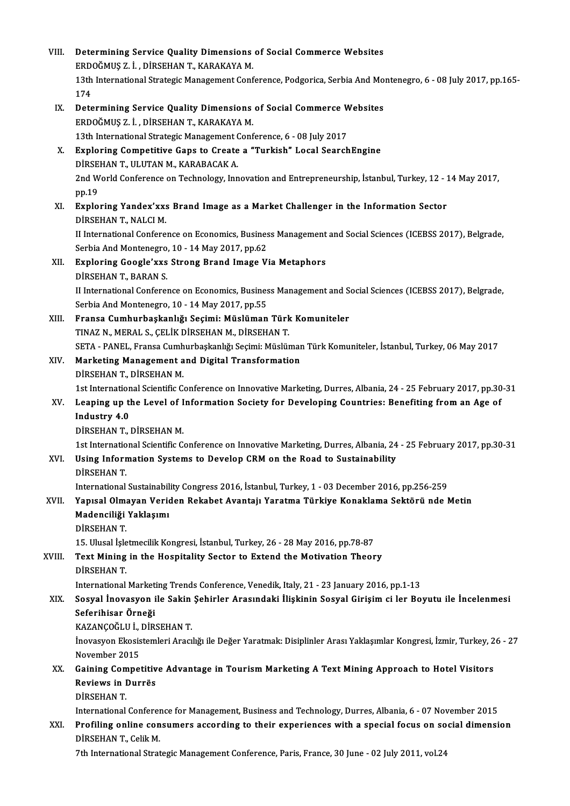| VIII.  | Determining Service Quality Dimensions of Social Commerce Websites<br>ERDOĞMUŞ Z. İ., DİRSEHAN T., KARAKAYA M.                                                                              |
|--------|---------------------------------------------------------------------------------------------------------------------------------------------------------------------------------------------|
|        | 13th International Strategic Management Conference, Podgorica, Serbia And Montenegro, 6 - 08 July 2017, pp.165-                                                                             |
|        | 174                                                                                                                                                                                         |
| IX.    | Determining Service Quality Dimensions of Social Commerce Websites                                                                                                                          |
|        | ERDOĞMUŞ Z. İ., DİRSEHAN T., KARAKAYA M.                                                                                                                                                    |
|        | 13th International Strategic Management Conference, 6 - 08 July 2017                                                                                                                        |
| Х.     | Exploring Competitive Gaps to Create a "Turkish" Local SearchEngine                                                                                                                         |
|        | DİRSEHAN T., ULUTAN M., KARABACAK A.                                                                                                                                                        |
|        | 2nd World Conference on Technology, Innovation and Entrepreneurship, İstanbul, Turkey, 12 - 14 May 2017,                                                                                    |
|        | pp 19                                                                                                                                                                                       |
| XI.    | Exploring Yandex'xxs Brand Image as a Market Challenger in the Information Sector                                                                                                           |
|        | DİRSEHAN T, NALCI M.                                                                                                                                                                        |
|        | II International Conference on Economics, Business Management and Social Sciences (ICEBSS 2017), Belgrade,                                                                                  |
|        | Serbia And Montenegro, 10 - 14 May 2017, pp.62                                                                                                                                              |
| XII.   | Exploring Google'xxs Strong Brand Image Via Metaphors<br>DIRSEHAN T, BARAN S.                                                                                                               |
|        | II International Conference on Economics, Business Management and Social Sciences (ICEBSS 2017), Belgrade,                                                                                  |
|        | Serbia And Montenegro, 10 - 14 May 2017, pp.55                                                                                                                                              |
| XIII.  | Fransa Cumhurbaşkanlığı Seçimi: Müslüman Türk Komuniteler                                                                                                                                   |
|        | TINAZ N., MERAL S., ÇELİK DİRSEHAN M., DİRSEHAN T.                                                                                                                                          |
|        | SETA - PANEL, Fransa Cumhurbaşkanlığı Seçimi: Müslüman Türk Komuniteler, İstanbul, Turkey, 06 May 2017                                                                                      |
| XIV.   | Marketing Management and Digital Transformation                                                                                                                                             |
|        | DİRSEHAN T, DİRSEHAN M.                                                                                                                                                                     |
|        | 1st International Scientific Conference on Innovative Marketing, Durres, Albania, 24 - 25 February 2017, pp.30-31                                                                           |
| XV.    | Leaping up the Level of Information Society for Developing Countries: Benefiting from an Age of                                                                                             |
|        | Industry 40                                                                                                                                                                                 |
|        | DİRSEHAN T, DİRSEHAN M.                                                                                                                                                                     |
| XVI.   | 1st International Scientific Conference on Innovative Marketing, Durres, Albania, 24 - 25 February 2017, pp.30-31<br>Using Information Systems to Develop CRM on the Road to Sustainability |
|        | DIRSEHAN T                                                                                                                                                                                  |
|        | International Sustainability Congress 2016, İstanbul, Turkey, 1 - 03 December 2016, pp.256-259                                                                                              |
| XVII.  | Yapısal Olmayan Veriden Rekabet Avantajı Yaratma Türkiye Konaklama Sektörü nde Metin                                                                                                        |
|        | Madenciliği Yaklaşımı                                                                                                                                                                       |
|        | DIRSEHAN T                                                                                                                                                                                  |
|        | 15. Ulusal İşletmecilik Kongresi, İstanbul, Turkey, 26 - 28 May 2016, pp.78-87                                                                                                              |
| XVIII. | Text Mining in the Hospitality Sector to Extend the Motivation Theory                                                                                                                       |
|        | DİRSEHAN T                                                                                                                                                                                  |
|        | International Marketing Trends Conference, Venedik, Italy, 21 - 23 January 2016, pp.1-13                                                                                                    |
| XIX.   | Sosyal İnovasyon ile Sakin Şehirler Arasındaki İlişkinin Sosyal Girişim ci ler Boyutu ile İncelenmesi                                                                                       |
|        | Seferihisar Örneği                                                                                                                                                                          |
|        | KAZANÇOĞLU İ., DİRSEHAN T.                                                                                                                                                                  |
|        | İnovasyon Ekosistemleri Aracılığı ile Değer Yaratmak: Disiplinler Arası Yaklaşımlar Kongresi, İzmir, Turkey, 26 - 27<br>November 2015                                                       |
| XX.    | Gaining Competitive Advantage in Tourism Marketing A Text Mining Approach to Hotel Visitors                                                                                                 |
|        | <b>Reviews in Durrës</b>                                                                                                                                                                    |
|        | DIRSEHAN T                                                                                                                                                                                  |
|        | International Conference for Management, Business and Technology, Durres, Albania, 6 - 07 November 2015                                                                                     |
| XXI.   | Profiling online consumers according to their experiences with a special focus on social dimension                                                                                          |
|        | DIRSEHAN T, Celik M.                                                                                                                                                                        |
|        | 7th International Strategic Management Conference, Paris, France, 30 June - 02 July 2011, vol.24                                                                                            |
|        |                                                                                                                                                                                             |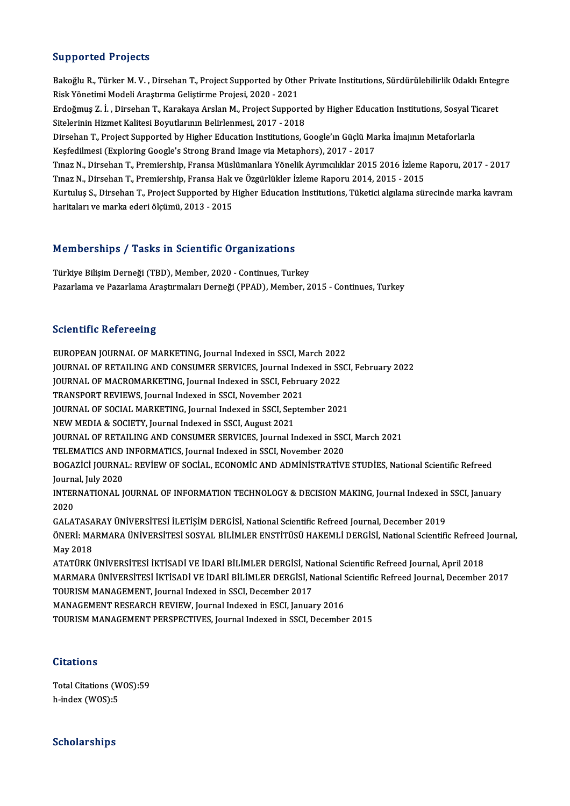#### Supported Projects

Supported Projects<br>Bakoğlu R., Türker M. V. , Dirsehan T., Project Supported by Other Private Institutions, Sürdürülebilirlik Odaklı Entegre<br>Risk Vönetimi Modeli Arastume Celistiume Prejesi, 2020, 2021 Bakoğlu R., Türker M. V. , Dirsehan T., Project Supported by Othe<br>Risk Yönetimi Modeli Araştırma Geliştirme Projesi, 2020 - 2021<br>Erdeğmus 7. İ., Dirsehan T., Karakaya Aralan M., Project Suppor Bakoğlu R., Türker M. V. , Dirsehan T., Project Supported by Other Private Institutions, Sürdürülebilirlik Odaklı Enteg<br>Risk Yönetimi Modeli Araştırma Geliştirme Projesi, 2020 - 2021<br>Erdoğmuş Z. İ. , Dirsehan T., Karakaya Risk Yönetimi Modeli Araştırma Geliştirme Projesi, 2020 - 2021<br>Erdoğmuş Z. İ. , Dirsehan T., Karakaya Arslan M., Project Supporte<br>Sitelerinin Hizmet Kalitesi Boyutlarının Belirlenmesi, 2017 - 2018<br>Dirsehan T. Broject Suppo Erdoğmuş Z. İ. , Dirsehan T., Karakaya Arslan M., Project Supported by Higher Education Institutions, Sosyal Ti<br>Sitelerinin Hizmet Kalitesi Boyutlarının Belirlenmesi, 2017 - 2018<br>Dirsehan T., Project Supported by Higher Ed Sitelerinin Hizmet Kalitesi Boyutlarının Belirlenmesi, 2017 - 2018<br>Dirsehan T., Project Supported by Higher Education Institutions, Google'ın Güçlü Marka İmajının Metaforlarla<br>Keşfedilmesi (Exploring Google's Strong Brand Dirsehan T., Project Supported by Higher Education Institutions, Google'ın Güçlü Marka İmajının Metaforlarla<br>Keşfedilmesi (Exploring Google's Strong Brand Image via Metaphors), 2017 - 2017<br>Tınaz N., Dirsehan T., Premiershi Keşfedilmesi (Exploring Google's Strong Brand Image via Metaphors), 2017 - 2017<br>Tınaz N., Dirsehan T., Premiership, Fransa Müslümanlara Yönelik Ayrımcılıklar 2015 2016 İzleme<br>Tınaz N., Dirsehan T., Premiership, Fransa Hak Tınaz N., Dirsehan T., Premiership, Fransa Müslümanlara Yönelik Ayrımcılıklar 2015 2016 İzleme Raporu, 2017 - 2017<br>Tınaz N., Dirsehan T., Premiership, Fransa Hak ve Özgürlükler İzleme Raporu 2014, 2015 - 2015<br>Kurtuluş S., Tınaz N., Dirsehan T., Premiership, Fransa Hak<br>Kurtuluş S., Dirsehan T., Project Supported by I<br>haritaları ve marka ederi ölçümü, 2013 - 2015

# haritaları ve marka ederi ölçümü, 2013 - 2015<br>Memberships / Tasks in Scientific Organizations

Türkiye Bilişim Derneği (TBD), Member, 2020 - Continues, Turkey Pazarlama ve Pazarlama Araştırmaları Derneği (PPAD), Member, 2015 - Continues, Turkey

#### **Scientific Refereeing**

Scientific Refereeing<br>EUROPEAN JOURNAL OF MARKETING, Journal Indexed in SSCI, March 2022<br>JOURNAL OF RETAILING AND CONSUMER SERVICES Journal Indexed in SSC BEICHTHIE REPORTSERING, Journal Indexed in SSCI, March 2022<br>JOURNAL OF RETAILING AND CONSUMER SERVICES, Journal Indexed in SSCI, February 2022<br>JOURNAL OF MACROMARKETING, Journal Indexed in SSCI, Eebruary 2022 EUROPEAN JOURNAL OF MARKETING, Journal Indexed in SSCI, March 2022<br>JOURNAL OF RETAILING AND CONSUMER SERVICES, Journal Indexed in SS<br>JOURNAL OF MACROMARKETING, Journal Indexed in SSCI, February 2022<br>TRANSPOPT REVIEWS Journ JOURNAL OF RETAILING AND CONSUMER SERVICES, Journal Inde<br>JOURNAL OF MACROMARKETING, Journal Indexed in SSCI, Febru<br>TRANSPORT REVIEWS, Journal Indexed in SSCI, November 2021<br>JOUPNAL OF SOCIAL MARKETING, Journal Indexed in S JOURNAL OF MACROMARKETING, Journal Indexed in SSCI, February 2022<br>TRANSPORT REVIEWS, Journal Indexed in SSCI, November 2021<br>JOURNAL OF SOCIAL MARKETING, Journal Indexed in SSCI, September 2021 NEW MEDIA & SOCIETY, Journal Indexed in SSCI, August 2021 JOURNAL OF SOCIAL MARKETING, Journal Indexed in SSCI, September 2021<br>NEW MEDIA & SOCIETY, Journal Indexed in SSCI, August 2021<br>JOURNAL OF RETAILING AND CONSUMER SERVICES, Journal Indexed in SSCI, March 2021<br>TELEMATICS AND NEW MEDIA & SOCIETY, Journal Indexed in SSCI, August 2021<br>JOURNAL OF RETAILING AND CONSUMER SERVICES, Journal Indexed in SSC<br>TELEMATICS AND INFORMATICS, Journal Indexed in SSCI, November 2020<br>POCAZICI JOUPNAL: PEVIEW OF SO JOURNAL OF RETAILING AND CONSUMER SERVICES, Journal Indexed in SSCI, March 2021<br>TELEMATICS AND INFORMATICS, Journal Indexed in SSCI, November 2020<br>BOGAZİCİ JOURNAL: REVİEW OF SOCİAL, ECONOMİC AND ADMİNİSTRATİVE STUDİES, Na TELEMATICS AND<br>BOGAZICI JOURNA<br>Journal, July 2020<br>INTERNATIONAL L BOGAZİCİ JOURNAL: REVİEW OF SOCİAL, ECONOMİC AND ADMİNİSTRATİVE STUDİES, National Scientific Refreed<br>Journal, July 2020<br>INTERNATIONAL JOURNAL OF INFORMATION TECHNOLOGY & DECISION MAKING, Journal Indexed in SSCI, January<br>20 Journal, July 2020<br>INTERNATIONAL JOURNAL OF INFORMATION TECHNOLOGY & DECISION MAKING, Journal Indexed in<br>2020<br>GALATASARAY ÜNİVERSİTESİ İLETİSİM DERGİSİ, National Scientific Refreed Journal, December 2019 INTERNATIONAL JOURNAL OF INFORMATION TECHNOLOGY & DECISION MAKING, Journal Indexed in SSCI, January 2020<br>GALATASARAY ÜNİVERSİTESİ İLETİŞİM DERGİSİ, National Scientific Refreed Journal, December 2019<br>ÖNERİ: MARMARA ÜNİVERSİTESİ SOSYAL BİLİMLER ENSTİTÜSÜ HAKEMLİ DERGİSİ, National Scientific Refreed Journal,<br>May 2018 **GALATASA<br>ÖNERİ: MA<br>May 2018**<br>ATATÜRE 1 ÖNERİ: MARMARA ÜNİVERSİTESİ SOSYAL BİLİMLER ENSTİTÜSÜ HAKEMLİ DERGİSİ, National Scientific Refreed<br>May 2018<br>ATATÜRK ÜNİVERSİTESİ İKTİSADİ VE İDARİ BİLİMLER DERGİSİ, National Scientific Refreed Journal, April 2018<br>MARMARA Ü May 2018<br>ATATÜRK ÜNİVERSİTESİ İKTİSADİ VE İDARİ BİLİMLER DERGİSİ, National Scientific Refreed Journal, April 2018<br>MARMARA ÜNİVERSİTESİ İKTİSADİ VE İDARİ BİLİMLER DERGİSİ, National Scientific Refreed Journal, December 2017<br> ATATÜRK ÜNIVERSITESI IKTISADI VE İDARİ BILIMLER DERGISI, Na<br>MARMARA ÜNIVERSITESI IKTISADI VE İDARİ BILIMLER DERGISI, N<br>TOURISM MANAGEMENT, Journal Indexed in SSCI, December 2017<br>MANACEMENT BESEARCH BEVIEW, Journal Indexed MARMARA ÜNIVERSITESI IKTISADI VE IDARI BILIMLER DERGISI, National Scientific Refreed Journal, December 2017<br>TOURISM MANAGEMENT, Journal Indexed in SSCI, December 2017<br>MANAGEMENT RESEARCH REVIEW, Journal Indexed in ESCI, Ja TOURISM MANAGEMENT PERSPECTIVES, Journal Indexed in SSCI, December 2015

#### **Citations**

Citations<br>Total Citations (WOS):59<br>h index (WOS):5 h-index (WOS):5 h-index (WOS):5<br>Scholarships